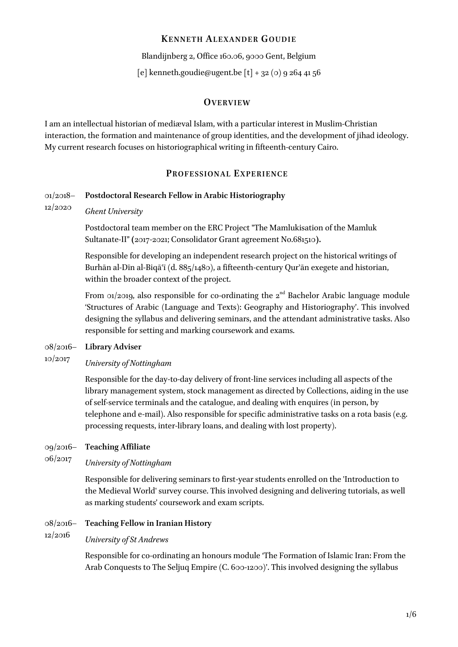# **KENNETH ALEXANDE R GOUDIE**

Blandijnberg 2, Office 160.06, 9000 Gent, Belgium

[e] kenneth.goudie@ugent.be  $[t] + 32(0)92644156$ 

# **OVERVIEW**

I am an intellectual historian of mediæval Islam, with a particular interest in Muslim-Christian interaction, the formation and maintenance of group identities, and the development of jihad ideology. My current research focuses on historiographical writing in fifteenth-century Cairo.

# **PROFES SIONAL EX PE RIENCE**

#### 01/2018– **Postdoctoral Research Fellow in Arabic Historiography**

12/2020 *Ghent University*

> Postdoctoral team member on the ERC Project "The Mamlukisation of the Mamluk Sultanate-II" **(**2017-2021[; Consolidator Grant agreement No.681510](https://cordis.europa.eu/project/rcn/200770_en.html)**).**

Responsible for developing an independent research project on the historical writings of Burhān al-Dīn al-Biqāʿī (d. 885/1480), a fifteenth-century Qurʾān exegete and historian, within the broader context of the project.

From  $\alpha$ 1/2019, also responsible for co-ordinating the  $2^{nd}$  Bachelor Arabic language module 'Structures of Arabic (Language and Texts): Geography and Historiography'. This involved designing the syllabus and delivering seminars, and the attendant administrative tasks. Also responsible for setting and marking coursework and exams.

#### 08/2016– **Library Adviser**

## 10/2017 *University of Nottingham*

Responsible for the day-to-day delivery of front-line services including all aspects of the library management system, stock management as directed by Collections, aiding in the use of self-service terminals and the catalogue, and dealing with enquires (in person, by telephone and e-mail). Also responsible for specific administrative tasks on a rota basis (e.g. processing requests, inter-library loans, and dealing with lost property).

#### 09/2016– **Teaching Affiliate**

## 06/2017 *University of Nottingham*

Responsible for delivering seminars to first-year students enrolled on the 'Introduction to the Medieval World' survey course. This involved designing and delivering tutorials, as well as marking students' coursework and exam scripts.

#### 08/2016– **Teaching Fellow in Iranian History**

### 12/2016 *University of St Andrews*

Responsible for co-ordinating an honours module 'The Formation of Islamic Iran: From the Arab Conquests to The Seljuq Empire (C. 600-1200)'. This involved designing the syllabus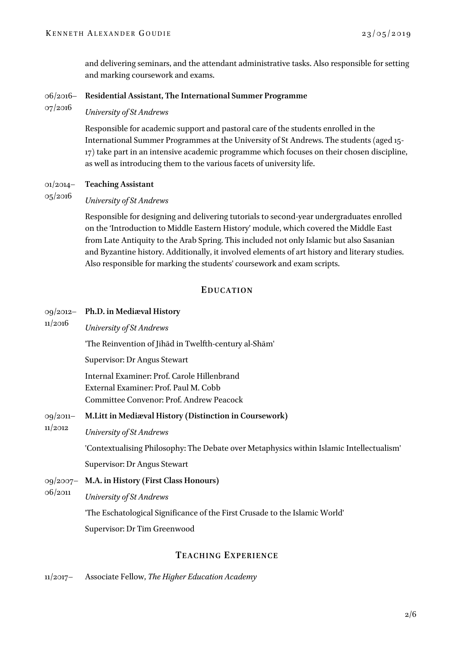and delivering seminars, and the attendant administrative tasks. Also responsible for setting and marking coursework and exams.

#### 06/2016– **Residential Assistant, The International Summer Programme**

07/2016 *University of St Andrews*

> Responsible for academic support and pastoral care of the students enrolled in the International Summer Programmes at the University of St Andrews. The students (aged 15- 17) take part in an intensive academic programme which focuses on their chosen discipline, as well as introducing them to the various facets of university life.

01/2014– **Teaching Assistant**

### 05/2016 *University of St Andrews*

Responsible for designing and delivering tutorials to second-year undergraduates enrolled on the 'Introduction to Middle Eastern History' module, which covered the Middle East from Late Antiquity to the Arab Spring. This included not only Islamic but also Sasanian and Byzantine history. Additionally, it involved elements of art history and literary studies. Also responsible for marking the students' coursework and exam scripts.

# **EDUCATION**

### 09/2012– **Ph.D. in Mediæval History**

11/2016 *University of St Andrews*

'The [Reinvention of Jihād in Twelfth](https://research-repository.st-andrews.ac.uk/handle/10023/12019)-century al-Shām'

Supervisor: Dr Angus Stewart

Internal Examiner: Prof. Carole Hillenbrand External Examiner: Prof. Paul M. Cobb Committee Convenor: Prof. Andrew Peacock

- 09/2011– **M.Litt in Mediæval History (Distinction in Coursework)**
- 11/2012 *University of St Andrews*

'Contextualising Philosophy: The Debate over Metaphysics within Islamic Intellectualism'

Supervisor: Dr Angus Stewart

09/2007– 06/2011 **M.A. in History (First Class Honours)** *University of St Andrews*

'The Eschatological Significance of the First Crusade to the Islamic World'

Supervisor: Dr Tim Greenwood

# **TEACHING EX PERIEN CE**

11/2017– Associate Fellow, *The Higher Education Academy*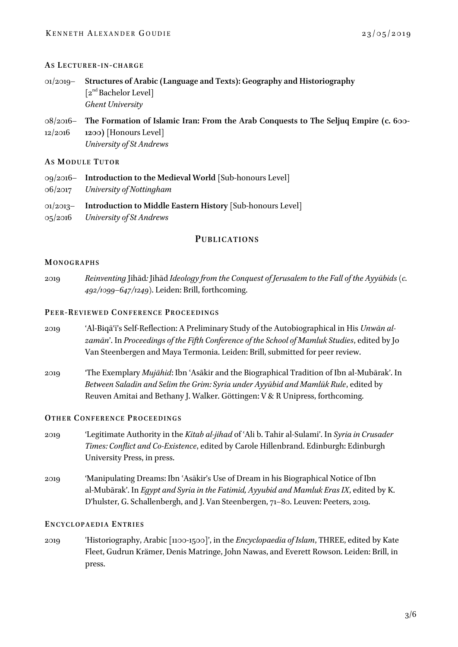## **AS LE C T U R E R-I N-C H A R G E**

- 01/2019– **Structures of Arabic (Language and Texts): Geography and Historiography**  $[2<sup>nd</sup>Bachelor Level]$ *Ghent University*
- 08/2016– 12/2016 **The Formation of Islamic Iran: From the Arab Conquests to The Seljuq Empire (c. 600- 1200)** [Honours Level] *University of St Andrews*

## **AS MO D U L E TU T O R**

- 09/2016– **Introduction to the Medieval World** [Sub-honours Level]
- 06/2017 *University of Nottingham*
- 01/2013– **Introduction to Middle Eastern History** [Sub-honours Level]
- 05/2016 *University of St Andrews*

# **PUBLICATIONS**

## **MO N O G R A P H S**

2019 *Reinventing* Jihād*:* Jihād *[Ideology from the Conquest of Jerusalem to the Fall of the Ayyūbids](https://brill.com/abstract/title/55395) (c. 492/1099–647/1249)*[. Leiden: Brill, forthcoming.](https://brill.com/abstract/title/55395)

## **PEER-RE V I E W E D CO N F E R E N C E PR O C E E D I N G S**

- 2019 'Al-Biqāʿī's Self-Reflection: A Preliminary Study of the Autobiographical in His *Unwān alzamān*'. In *Proceedings of the Fifth Conference of the School of Mamluk Studies*, edited by Jo Van Steenbergen and Maya Termonia. Leiden: Brill, submitted for peer review.
- 2019 'The Exemplary *Mujāhid*: Ibn ʿAsākir and the Biographical Tradition of Ibn al-Mubārak'. In *Between Saladin and Selim the Grim: Syria under Ayyūbid and Mamlūk Rule*, edited by Reuven Amitai and Bethany J. Walker. Göttingen: V & R Unipress, forthcoming.

## **OT H E R CO N F E R E N C E PR O C E E D I N G S**

- 2019 'Legitimate Authority in the *Kitab al-jihad* of ʿAli b. Tahir al-Sulami'. In *Syria in Crusader Times: Conflict and Co-Existence*, edited by Carole Hillenbrand. Edinburgh: Edinburgh University Press, in press.
- 2019 'Manipulating Dreams: Ibn ʿAsākir's Use of Dream in his Biographical Notice of Ibn al-Mubārak'. In *Egypt and Syria in the Fatimid, Ayyubid and Mamluk Eras IX*, edited by K. D'hulster, G. Schallenbergh, and J. Van Steenbergen, 71–80. Leuven: Peeters, 2019.

## **EN C Y C L O P A E D I A EN T R I E S**

2019 'Historiography, Arabic [1100-1500]', in the *Encyclopaedia of Islam*, THREE, edited by Kate Fleet, Gudrun Krämer, Denis Matringe, John Nawas, and Everett Rowson. Leiden: Brill, in press.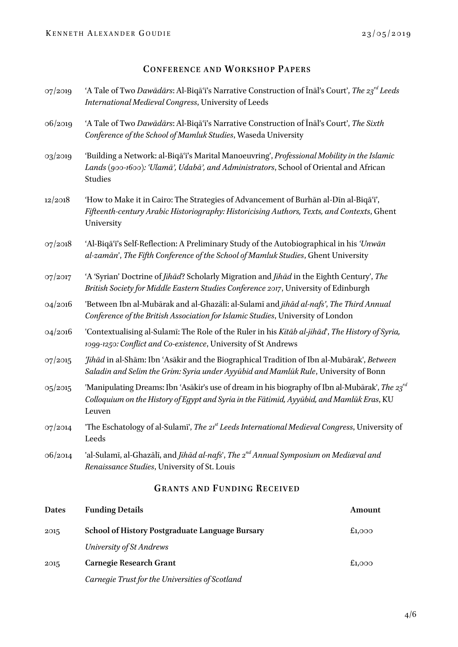# **CONFERENCE AND WORKSHO P PAPER S**

| 2015                               | <b>School of History Postgraduate Language Bursary</b>                                                                                                                                                | £1,000 |  |  |
|------------------------------------|-------------------------------------------------------------------------------------------------------------------------------------------------------------------------------------------------------|--------|--|--|
| <b>Dates</b>                       | <b>Funding Details</b>                                                                                                                                                                                | Amount |  |  |
| <b>GRANTS AND FUNDING RECEIVED</b> |                                                                                                                                                                                                       |        |  |  |
| 06/2014                            | 'al-Sulamī, al-Ghazālī, and Jihād al-nafs', The 2 <sup>nd</sup> Annual Symposium on Mediæval and<br>Renaissance Studies, University of St. Louis                                                      |        |  |  |
| 07/2014                            | 'The Eschatology of al-Sulami', The 21 <sup>st</sup> Leeds International Medieval Congress, University of<br>Leeds                                                                                    |        |  |  |
| 05/2015                            | 'Manipulating Dreams: Ibn 'Asākir's use of dream in his biography of Ibn al-Mubārak', The 23rd<br>Colloquium on the History of Egypt and Syria in the Fatimid, Ayyūbid, and Mamlūk Eras, KU<br>Leuven |        |  |  |
| 07/2015                            | Jihād in al-Shām: Ibn 'Asākir and the Biographical Tradition of Ibn al-Mubārak', Between<br>Saladin and Selim the Grim: Syria under Ayyūbid and Mamlūk Rule, University of Bonn                       |        |  |  |
| 04/2016                            | 'Contextualising al-Sulamī: The Role of the Ruler in his Kitāb al-jihād', The History of Syria,<br>1099-1250: Conflict and Co-existence, University of St Andrews                                     |        |  |  |
| 04/2016                            | 'Between Ibn al-Mubārak and al-Ghazālī: al-Sulamī and jihād al-nafs', The Third Annual<br>Conference of the British Association for Islamic Studies, University of London                             |        |  |  |
| 07/2017                            | 'A 'Syrian' Doctrine of Jihād? Scholarly Migration and Jihād in the Eighth Century', The<br>British Society for Middle Eastern Studies Conference 2017, University of Edinburgh                       |        |  |  |
| O7/2O18                            | 'Al-Biqā'i's Self-Reflection: A Preliminary Study of the Autobiographical in his 'Unwan<br>al-zamān', The Fifth Conference of the School of Mamluk Studies, Ghent University                          |        |  |  |
| 12/2018                            | 'How to Make it in Cairo: The Strategies of Advancement of Burhān al-Dīn al-Biqā'i',<br>Fifteenth-century Arabic Historiography: Historicising Authors, Texts, and Contexts, Ghent<br>University      |        |  |  |
| 03/2019                            | 'Building a Network: al-Biqā'i's Marital Manoeuvring', Professional Mobility in the Islamic<br>Lands (900-1600): 'Ulamā', Udabā', and Administrators, School of Oriental and African<br>Studies       |        |  |  |
| 06/2019                            | 'A Tale of Two Dawadars: Al-Biqa'i's Narrative Construction of Inal's Court', The Sixth<br>Conference of the School of Mamluk Studies, Waseda University                                              |        |  |  |
| 07/2019                            | 'A Tale of Two Dawadars: Al-Biqa'i's Narrative Construction of Inal's Court', The $23^{rd}$ Leeds<br>International Medieval Congress, University of Leeds                                             |        |  |  |

*University of St Andrews*

2015 **Carnegie Research Grant** *Carnegie Trust for the Universities of Scotland* £1,000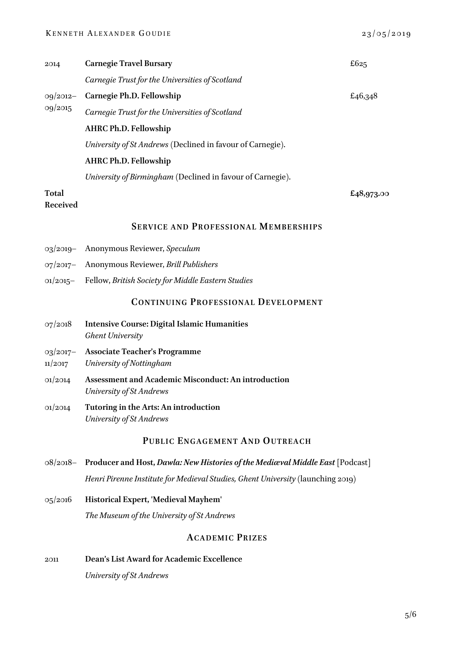## KENNETH ALEXANDER GOUDIE  $23/05/2019$

| 2014                     | <b>Carnegie Travel Bursary</b>                             | £625       |
|--------------------------|------------------------------------------------------------|------------|
|                          | Carnegie Trust for the Universities of Scotland            |            |
| $09/2012-$<br>09/2015    | Carnegie Ph.D. Fellowship                                  | £46,348    |
|                          | Carnegie Trust for the Universities of Scotland            |            |
|                          | <b>AHRC Ph.D. Fellowship</b>                               |            |
|                          | University of St Andrews (Declined in favour of Carnegie). |            |
|                          | <b>AHRC Ph.D. Fellowship</b>                               |            |
|                          | University of Birmingham (Declined in favour of Carnegie). |            |
| <b>Total</b><br>Received |                                                            | £48,973.00 |

# **SERVICE AND PR OFES SIONAL MEMBE RSHIP S**

- 03/2019– Anonymous Reviewer, *Speculum*
- 07/2017– Anonymous Reviewer, *Brill Publishers*
- 01/2015– Fellow, *British Society for Middle Eastern Studies*

# **CONTINUING PRO FES SIONAL DEVELO PMEN T**

- 07/2018 **Intensive Course: Digital Islamic Humanities** *Ghent University*
- 03/2017– **Associate Teacher's Programme**
- 11/2017 *University of Nottingham*
- 01/2014 **Assessment and Academic Misconduct: An introduction**  *University of St Andrews*
- 01/2014 **Tutoring in the Arts: An introduction** *University of St Andrews*

# **PUBLIC ENGAGEMEN T AND OUTREA CH**

- 08/2018– **Producer and Host,** *[Dawla: New Histories of the Mediæval Middle East](https://soundcloud.com/dawla-new_histories)* [Podcast] *Henri Pirenne Institute for Medieval Studies, Ghent University* (launching 2019)
- 05/2016 **Historical Expert, 'Medieval Mayhem'**  *The Museum of the University of St Andrews*

# **ACADEMIC PRIZES**

2011 **Dean's List Award for Academic Excellence** *University of St Andrews*